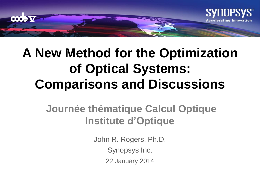

# **A New Method for the Optimization of Optical Systems: Comparisons and Discussions**

### **Journée thématique Calcul Optique Institute d'Optique**

John R. Rogers, Ph.D. Synopsys Inc. 22 January 2014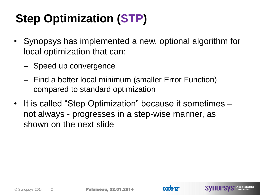# **Step Optimization (STP)**

- Synopsys has implemented a new, optional algorithm for local optimization that can:
	- Speed up convergence
	- Find a better local minimum (smaller Error Function) compared to standard optimization
- It is called "Step Optimization" because it sometimes not always - progresses in a step-wise manner, as shown on the next slide



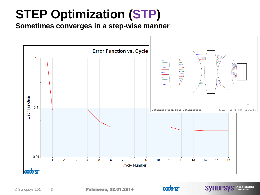# **STEP Optimization (STP)**

**Sometimes converges in a step-wise manner**



 $\bullet\bullet\bullet$ 

S<sup>®</sup> Accelerating

**SYNOPSY**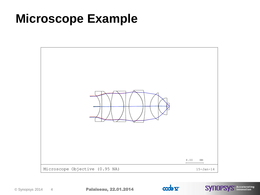## **Microscope Example**





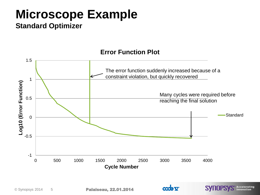# **Microscope Example**

**Standard Optimizer**



S<sup>®</sup> Accelerating

**SYNOPSY**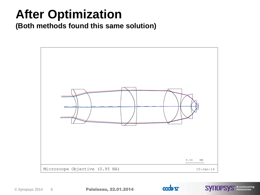## **After Optimization**

**(Both methods found this same solution)**





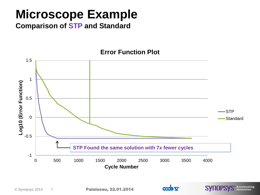## **Microscope Example**

**Comparison of STP and Standard**



COORT

**SYNOPSYS** Accelerating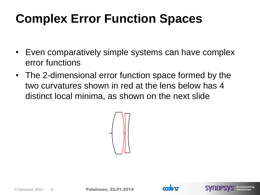# **Complex Error Function Spaces**

- Even comparatively simple systems can have complex error functions
- The 2-dimensional error function space formed by the two curvatures shown in red at the lens below has 4 distinct local minima, as shown on the next slide





**SYNOPS**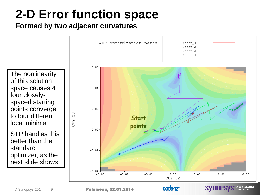# **2-D Error function space**

### **Formed by two adjacent curvatures**



 $\bullet\bullet\bullet\Box\bullet\vee$ 

•Palaiseau, 22.01.2014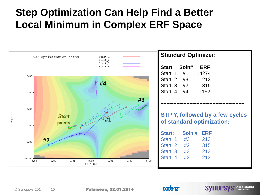### **Step Optimization Can Help Find a Better Local Minimum in Complex ERF Space**



Accelerating

**SYIIOPSYS** Acceleration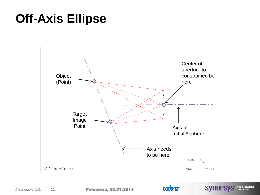## **Off-Axis Ellipse**





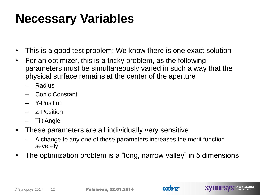## **Necessary Variables**

- This is a good test problem: We know there is one exact solution
- For an optimizer, this is a tricky problem, as the following parameters must be simultaneously varied in such a way that the physical surface remains at the center of the aperture
	- Radius
	- Conic Constant
	- Y-Position
	- Z-Position
	- Tilt Angle
- These parameters are all individually very sensitive
	- A change to any one of these parameters increases the merit function severely
- The optimization problem is a "long, narrow valley" in 5 dimensions



**SYNOPSYS** Accelerating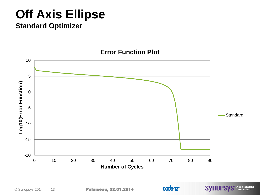## **Off Axis Ellipse**

### **Standard Optimizer**



COOR V

**SYNOPSYS** Accelerating

#### **Error Function Plot**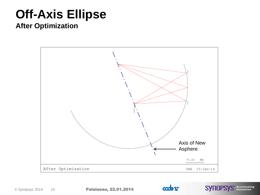## **Off-Axis Ellipse**

**After Optimization**





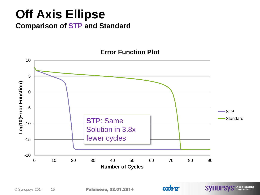### **Off Axis Ellipse Comparison of STP and Standard**



COOR V

**SYNOPSYS** Accelerating

#### **Error Function Plot**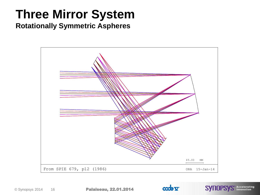## **Three Mirror System**

#### **Rotationally Symmetric Aspheres**





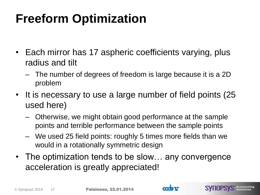# **Freeform Optimization**

- Each mirror has 17 aspheric coefficients varying, plus radius and tilt
	- The number of degrees of freedom is large because it is a 2D problem
- It is necessary to use a large number of field points (25) used here)
	- Otherwise, we might obtain good performance at the sample points and terrible performance between the sample points
	- We used 25 field points: roughly 5 times more fields than we would in a rotationally symmetric design
- The optimization tends to be slow… any convergence acceleration is greatly appreciated!



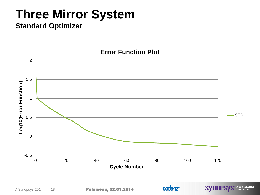# **Three Mirror System**

### **Standard Optimizer**

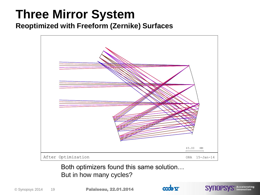### **Three Mirror System Reoptimized with Freeform (Zernike) Surfaces**



Both optimizers found this same solution... But in how many cycles?



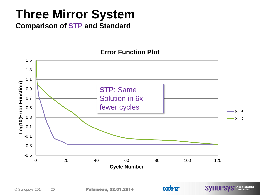# **Three Mirror System**

**Comparison of STP and Standard**



COOR V

**SYNOPSYS** Accelerating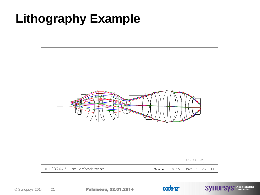## **Lithography Example**



•Palaiseau, 22.01.2014



**SYNOPSYS** Accelerating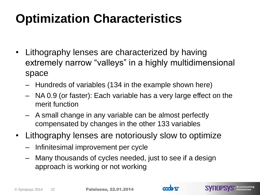# **Optimization Characteristics**

- Lithography lenses are characterized by having extremely narrow "valleys" in a highly multidimensional space
	- Hundreds of variables (134 in the example shown here)
	- NA 0.9 (or faster): Each variable has a very large effect on the merit function
	- A small change in any variable can be almost perfectly compensated by changes in the other 133 variables
- Lithography lenses are notoriously slow to optimize
	- Infinitesimal improvement per cycle
	- Many thousands of cycles needed, just to see if a design approach is working or not working

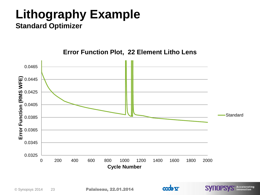### **Lithography Example Standard Optimizer**



S<sup>®</sup> Accelerating<br>Innovation

**SYNOPSY** 

 $\bullet\bullet\bullet\vdash$ 

#### **Error Function Plot, 22 Element Litho Lens**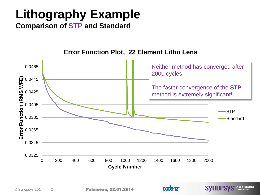# **Lithography Example**

**Comparison of STP and Standard**



**SVIIOPSVS** Acceleration

**Error Function Plot, 22 Element Litho Lens**